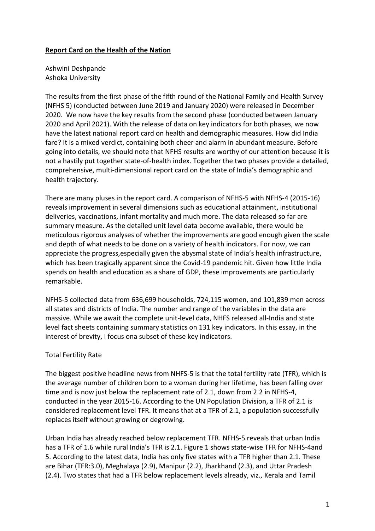# **Report Card on the Health of the Nation**

Ashwini Deshpande Ashoka University

The results from the first phase of the fifth round of the National Family and Health Survey (NFHS 5) (conducted between June 2019 and January 2020) were released in December 2020. We now have the key results from the second phase (conducted between January 2020 and April 2021). With the release of data on key indicators for both phases, we now have the latest national report card on health and demographic measures. How did India fare? It is a mixed verdict, containing both cheer and alarm in abundant measure. Before going into details, we should note that NFHS results are worthy of our attention because it is not a hastily put together state-of-health index. Together the two phases provide a detailed, comprehensive, multi-dimensional report card on the state of India's demographic and health trajectory.

There are many pluses in the report card. A comparison of NFHS-5 with NFHS-4 (2015-16) reveals improvement in several dimensions such as educational attainment, institutional deliveries, vaccinations, infant mortality and much more. The data released so far are summary measure. As the detailed unit level data become available, there would be meticulous rigorous analyses of whether the improvements are good enough given the scale and depth of what needs to be done on a variety of health indicators. For now, we can appreciate the progress,especially given the abysmal state of India's health infrastructure, which has been tragically apparent since the Covid-19 pandemic hit. Given how little India spends on health and education as a share of GDP, these improvements are particularly remarkable.

NFHS-5 collected data from 636,699 households, 724,115 women, and 101,839 men across all states and districts of India. The number and range of the variables in the data are massive. While we await the complete unit-level data, NHFS released all-India and state level fact sheets containing summary statistics on 131 key indicators. In this essay, in the interest of brevity, I focus ona subset of these key indicators.

# Total Fertility Rate

The biggest positive headline news from NHFS-5 is that the total fertility rate (TFR), which is the average number of children born to a woman during her lifetime, has been falling over time and is now just below the replacement rate of 2.1, down from 2.2 in NFHS-4, conducted in the year 2015-16. According to the UN Population Division, a TFR of 2.1 is considered replacement level TFR. It means that at a TFR of 2.1, a population successfully replaces itself without growing or degrowing.

Urban India has already reached below replacement TFR. NFHS-5 reveals that urban India has a TFR of 1.6 while rural India's TFR is 2.1. Figure 1 shows state-wise TFR for NFHS-4and 5. According to the latest data, India has only five states with a TFR higher than 2.1. These are Bihar (TFR:3.0), Meghalaya (2.9), Manipur (2.2), Jharkhand (2.3), and Uttar Pradesh (2.4). Two states that had a TFR below replacement levels already, viz., Kerala and Tamil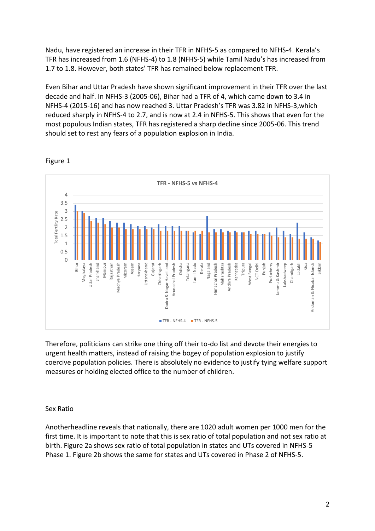Nadu, have registered an increase in their TFR in NFHS-5 as compared to NFHS-4. Kerala's TFR has increased from 1.6 (NFHS-4) to 1.8 (NFHS-5) while Tamil Nadu's has increased from 1.7 to 1.8. However, both states' TFR has remained below replacement TFR.

Even Bihar and Uttar Pradesh have shown significant improvement in their TFR over the last decade and half. In NFHS-3 (2005-06), Bihar had a TFR of 4, which came down to 3.4 in NFHS-4 (2015-16) and has now reached 3. Uttar Pradesh's TFR was 3.82 in NFHS-3,which reduced sharply in NFHS-4 to 2.7, and is now at 2.4 in NFHS-5. This shows that even for the most populous Indian states, TFR has registered a sharp decline since 2005-06. This trend should set to rest any fears of a population explosion in India.



## Figure 1

Therefore, politicians can strike one thing off their to-do list and devote their energies to urgent health matters, instead of raising the bogey of population explosion to justify coercive population policies. There is absolutely no evidence to justify tying welfare support measures or holding elected office to the number of children.

# Sex Ratio

Anotherheadline reveals that nationally, there are 1020 adult women per 1000 men for the first time. It is important to note that this is sex ratio of total population and not sex ratio at birth. Figure 2a shows sex ratio of total population in states and UTs covered in NFHS-5 Phase 1. Figure 2b shows the same for states and UTs covered in Phase 2 of NFHS-5.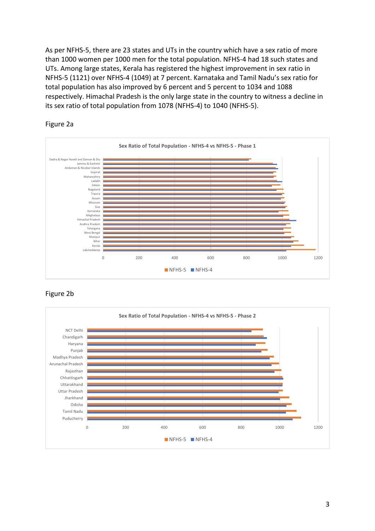As per NFHS-5, there are 23 states and UTs in the country which have a sex ratio of more than 1000 women per 1000 men for the total population. NFHS-4 had 18 such states and UTs. Among large states, Kerala has registered the highest improvement in sex ratio in NFHS-5 (1121) over NFHS-4 (1049) at 7 percent. Karnataka and Tamil Nadu's sex ratio for total population has also improved by 6 percent and 5 percent to 1034 and 1088 respectively. Himachal Pradesh is the only large state in the country to witness a decline in its sex ratio of total population from 1078 (NFHS-4) to 1040 (NFHS-5).



#### Figure 2a



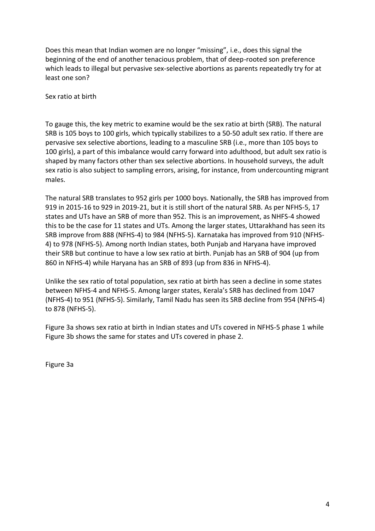Does this mean that Indian women are no longer "missing", i.e., does this signal the beginning of the end of another tenacious problem, that of deep-rooted son preference which leads to illegal but pervasive sex-selective abortions as parents repeatedly try for at least one son?

Sex ratio at birth

To gauge this, the key metric to examine would be the sex ratio at birth (SRB). The natural SRB is 105 boys to 100 girls, which typically stabilizes to a 50-50 adult sex ratio. If there are pervasive sex selective abortions, leading to a masculine SRB (i.e., more than 105 boys to 100 girls), a part of this imbalance would carry forward into adulthood, but adult sex ratio is shaped by many factors other than sex selective abortions. In household surveys, the adult sex ratio is also subject to sampling errors, arising, for instance, from undercounting migrant males.

The natural SRB translates to 952 girls per 1000 boys. Nationally, the SRB has improved from 919 in 2015-16 to 929 in 2019-21, but it is still short of the natural SRB. As per NFHS-5, 17 states and UTs have an SRB of more than 952. This is an improvement, as NHFS-4 showed this to be the case for 11 states and UTs. Among the larger states, Uttarakhand has seen its SRB improve from 888 (NFHS-4) to 984 (NFHS-5). Karnataka has improved from 910 (NFHS-4) to 978 (NFHS-5). Among north Indian states, both Punjab and Haryana have improved their SRB but continue to have a low sex ratio at birth. Punjab has an SRB of 904 (up from 860 in NFHS-4) while Haryana has an SRB of 893 (up from 836 in NFHS-4).

Unlike the sex ratio of total population, sex ratio at birth has seen a decline in some states between NFHS-4 and NFHS-5. Among larger states, Kerala's SRB has declined from 1047 (NFHS-4) to 951 (NFHS-5). Similarly, Tamil Nadu has seen its SRB decline from 954 (NFHS-4) to 878 (NFHS-5).

Figure 3a shows sex ratio at birth in Indian states and UTs covered in NFHS-5 phase 1 while Figure 3b shows the same for states and UTs covered in phase 2.

Figure 3a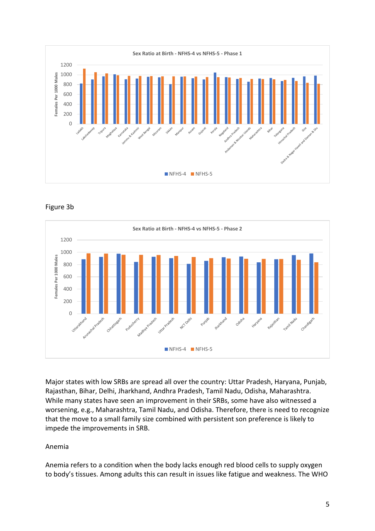





Major states with low SRBs are spread all over the country: Uttar Pradesh, Haryana, Punjab, Rajasthan, Bihar, Delhi, Jharkhand, Andhra Pradesh, Tamil Nadu, Odisha, Maharashtra. While many states have seen an improvement in their SRBs, some have also witnessed a worsening, e.g., Maharashtra, Tamil Nadu, and Odisha. Therefore, there is need to recognize that the move to a small family size combined with persistent son preference is likely to impede the improvements in SRB.

# Anemia

Anemia refers to a condition when the body lacks enough red blood cells to supply oxygen to body's tissues. Among adults this can result in issues like fatigue and weakness. The WHO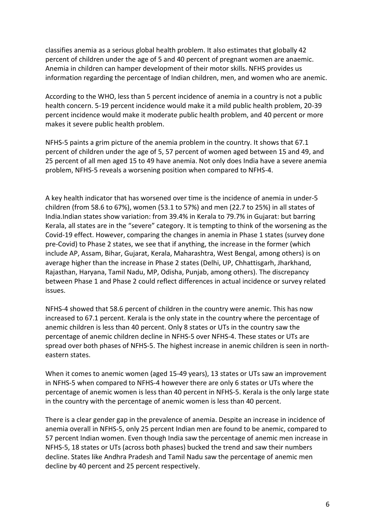classifies anemia as a serious global health problem. It also estimates that globally 42 percent of children under the age of 5 and 40 percent of pregnant women are anaemic. Anemia in children can hamper development of their motor skills. NFHS provides us information regarding the percentage of Indian children, men, and women who are anemic.

According to the WHO, less than 5 percent incidence of anemia in a country is not a public health concern. 5-19 percent incidence would make it a mild public health problem, 20-39 percent incidence would make it moderate public health problem, and 40 percent or more makes it severe public health problem.

NFHS-5 paints a grim picture of the anemia problem in the country. It shows that 67.1 percent of children under the age of 5, 57 percent of women aged between 15 and 49, and 25 percent of all men aged 15 to 49 have anemia. Not only does India have a severe anemia problem, NFHS-5 reveals a worsening position when compared to NFHS-4.

A key health indicator that has worsened over time is the incidence of anemia in under-5 children (from 58.6 to 67%), women (53.1 to 57%) and men (22.7 to 25%) in all states of India.Indian states show variation: from 39.4% in Kerala to 79.7% in Gujarat: but barring Kerala, all states are in the "severe" category. It is tempting to think of the worsening as the Covid-19 effect. However, comparing the changes in anemia in Phase 1 states (survey done pre-Covid) to Phase 2 states, we see that if anything, the increase in the former (which include AP, Assam, Bihar, Gujarat, Kerala, Maharashtra, West Bengal, among others) is on average higher than the increase in Phase 2 states (Delhi, UP, Chhattisgarh, Jharkhand, Rajasthan, Haryana, Tamil Nadu, MP, Odisha, Punjab, among others). The discrepancy between Phase 1 and Phase 2 could reflect differences in actual incidence or survey related issues.

NFHS-4 showed that 58.6 percent of children in the country were anemic. This has now increased to 67.1 percent. Kerala is the only state in the country where the percentage of anemic children is less than 40 percent. Only 8 states or UTs in the country saw the percentage of anemic children decline in NFHS-5 over NFHS-4. These states or UTs are spread over both phases of NFHS-5. The highest increase in anemic children is seen in northeastern states.

When it comes to anemic women (aged 15-49 years), 13 states or UTs saw an improvement in NFHS-5 when compared to NFHS-4 however there are only 6 states or UTs where the percentage of anemic women is less than 40 percent in NFHS-5. Kerala is the only large state in the country with the percentage of anemic women is less than 40 percent.

There is a clear gender gap in the prevalence of anemia. Despite an increase in incidence of anemia overall in NFHS-5, only 25 percent Indian men are found to be anemic, compared to 57 percent Indian women. Even though India saw the percentage of anemic men increase in NFHS-5, 18 states or UTs (across both phases) bucked the trend and saw their numbers decline. States like Andhra Pradesh and Tamil Nadu saw the percentage of anemic men decline by 40 percent and 25 percent respectively.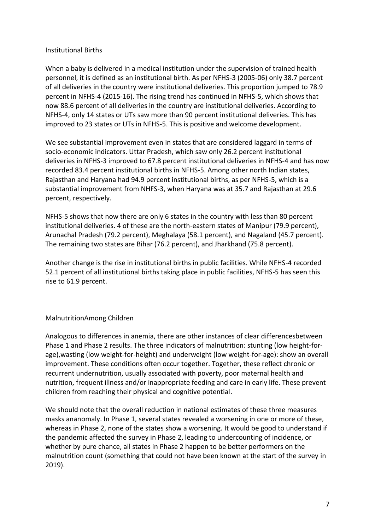## Institutional Births

When a baby is delivered in a medical institution under the supervision of trained health personnel, it is defined as an institutional birth. As per NFHS-3 (2005-06) only 38.7 percent of all deliveries in the country were institutional deliveries. This proportion jumped to 78.9 percent in NFHS-4 (2015-16). The rising trend has continued in NFHS-5, which shows that now 88.6 percent of all deliveries in the country are institutional deliveries. According to NFHS-4, only 14 states or UTs saw more than 90 percent institutional deliveries. This has improved to 23 states or UTs in NFHS-5. This is positive and welcome development.

We see substantial improvement even in states that are considered laggard in terms of socio-economic indicators. Uttar Pradesh, which saw only 26.2 percent institutional deliveries in NFHS-3 improved to 67.8 percent institutional deliveries in NFHS-4 and has now recorded 83.4 percent institutional births in NFHS-5. Among other north Indian states, Rajasthan and Haryana had 94.9 percent institutional births, as per NFHS-5, which is a substantial improvement from NHFS-3, when Haryana was at 35.7 and Rajasthan at 29.6 percent, respectively.

NFHS-5 shows that now there are only 6 states in the country with less than 80 percent institutional deliveries. 4 of these are the north-eastern states of Manipur (79.9 percent), Arunachal Pradesh (79.2 percent), Meghalaya (58.1 percent), and Nagaland (45.7 percent). The remaining two states are Bihar (76.2 percent), and Jharkhand (75.8 percent).

Another change is the rise in institutional births in public facilities. While NFHS-4 recorded 52.1 percent of all institutional births taking place in public facilities, NFHS-5 has seen this rise to 61.9 percent.

# MalnutritionAmong Children

Analogous to differences in anemia, there are other instances of clear differencesbetween Phase 1 and Phase 2 results. The three indicators of malnutrition: stunting (low height-forage),wasting (low weight-for-height) and underweight (low weight-for-age): show an overall improvement. These conditions often occur together. Together, these reflect chronic or recurrent undernutrition, usually associated with poverty, poor maternal health and nutrition, frequent illness and/or inappropriate feeding and care in early life. These prevent children from reaching their physical and cognitive potential.

We should note that the overall reduction in national estimates of these three measures masks ananomaly. In Phase 1, several states revealed a worsening in one or more of these, whereas in Phase 2, none of the states show a worsening. It would be good to understand if the pandemic affected the survey in Phase 2, leading to undercounting of incidence, or whether by pure chance, all states in Phase 2 happen to be better performers on the malnutrition count (something that could not have been known at the start of the survey in 2019).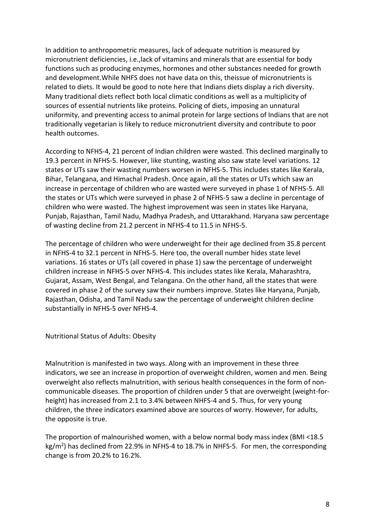In addition to anthropometric measures, lack of adequate nutrition is measured by micronutrient deficiencies, i.e.,lack of vitamins and minerals that are essential for body functions such as producing enzymes, hormones and other substances needed for growth and development.While NHFS does not have data on this, theissue of micronutrients is related to diets. It would be good to note here that Indians diets display a rich diversity. Many traditional diets reflect both local climatic conditions as well as a multiplicity of sources of essential nutrients like proteins. Policing of diets, imposing an unnatural uniformity, and preventing access to animal protein for large sections of Indians that are not traditionally vegetarian is likely to reduce micronutrient diversity and contribute to poor health outcomes.

According to NFHS-4, 21 percent of Indian children were wasted. This declined marginally to 19.3 percent in NFHS-5. However, like stunting, wasting also saw state level variations. 12 states or UTs saw their wasting numbers worsen in NFHS-5. This includes states like Kerala, Bihar, Telangana, and Himachal Pradesh. Once again, all the states or UTs which saw an increase in percentage of children who are wasted were surveyed in phase 1 of NFHS-5. All the states or UTs which were surveyed in phase 2 of NFHS-5 saw a decline in percentage of children who were wasted. The highest improvement was seen in states like Haryana, Punjab, Rajasthan, Tamil Nadu, Madhya Pradesh, and Uttarakhand. Haryana saw percentage of wasting decline from 21.2 percent in NFHS-4 to 11.5 in NFHS-5.

The percentage of children who were underweight for their age declined from 35.8 percent in NFHS-4 to 32.1 percent in NFHS-5. Here too, the overall number hides state level variations. 16 states or UTs (all covered in phase 1) saw the percentage of underweight children increase in NFHS-5 over NFHS-4. This includes states like Kerala, Maharashtra, Gujarat, Assam, West Bengal, and Telangana. On the other hand, all the states that were covered in phase 2 of the survey saw their numbers improve. States like Haryana, Punjab, Rajasthan, Odisha, and Tamil Nadu saw the percentage of underweight children decline substantially in NFHS-5 over NFHS-4.

Nutritional Status of Adults: Obesity

Malnutrition is manifested in two ways. Along with an improvement in these three indicators, we see an increase in proportion of overweight children, women and men. Being overweight also reflects malnutrition, with serious health consequences in the form of noncommunicable diseases. The proportion of children under 5 that are overweight (weight-forheight) has increased from 2.1 to 3.4% between NHFS-4 and 5. Thus, for very young children, the three indicators examined above are sources of worry. However, for adults, the opposite is true.

The proportion of malnourished women, with a below normal body mass index (BMI <18.5 kg/m<sup>2</sup>) has declined from 22.9% in NFHS-4 to 18.7% in NHFS-5. For men, the corresponding change is from 20.2% to 16.2%.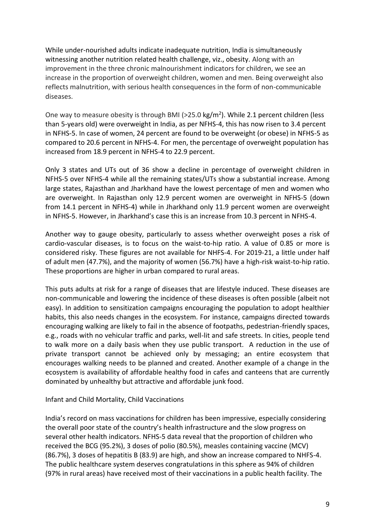While under-nourished adults indicate inadequate nutrition, India is simultaneously witnessing another nutrition related health challenge, viz., obesity. Along with an improvement in the three chronic malnourishment indicators for children, we see an increase in the proportion of overweight children, women and men. Being overweight also reflects malnutrition, with serious health consequences in the form of non-communicable diseases.

One way to measure obesity is through BMI (>25.0 kg/m<sup>2</sup>). While 2.1 percent children (less than 5-years old) were overweight in India, as per NFHS-4, this has now risen to 3.4 percent in NFHS-5. In case of women, 24 percent are found to be overweight (or obese) in NFHS-5 as compared to 20.6 percent in NFHS-4. For men, the percentage of overweight population has increased from 18.9 percent in NFHS-4 to 22.9 percent.

Only 3 states and UTs out of 36 show a decline in percentage of overweight children in NFHS-5 over NFHS-4 while all the remaining states/UTs show a substantial increase. Among large states, Rajasthan and Jharkhand have the lowest percentage of men and women who are overweight. In Rajasthan only 12.9 percent women are overweight in NFHS-5 (down from 14.1 percent in NFHS-4) while in Jharkhand only 11.9 percent women are overweight in NFHS-5. However, in Jharkhand's case this is an increase from 10.3 percent in NFHS-4.

Another way to gauge obesity, particularly to assess whether overweight poses a risk of cardio-vascular diseases, is to focus on the waist-to-hip ratio. A value of 0.85 or more is considered risky. These figures are not available for NHFS-4. For 2019-21, a little under half of adult men (47.7%), and the majority of women (56.7%) have a high-risk waist-to-hip ratio. These proportions are higher in urban compared to rural areas.

This puts adults at risk for a range of diseases that are lifestyle induced. These diseases are non-communicable and lowering the incidence of these diseases is often possible (albeit not easy). In addition to sensitization campaigns encouraging the population to adopt healthier habits, this also needs changes in the ecosystem. For instance, campaigns directed towards encouraging walking are likely to fail in the absence of footpaths, pedestrian-friendly spaces, e.g., roads with no vehicular traffic and parks, well-lit and safe streets. In cities, people tend to walk more on a daily basis when they use public transport. A reduction in the use of private transport cannot be achieved only by messaging; an entire ecosystem that encourages walking needs to be planned and created. Another example of a change in the ecosystem is availability of affordable healthy food in cafes and canteens that are currently dominated by unhealthy but attractive and affordable junk food.

#### Infant and Child Mortality, Child Vaccinations

India's record on mass vaccinations for children has been impressive, especially considering the overall poor state of the country's health infrastructure and the slow progress on several other health indicators. NFHS-5 data reveal that the proportion of children who received the BCG (95.2%), 3 doses of polio (80.5%), measles containing vaccine (MCV) (86.7%), 3 doses of hepatitis B (83.9) are high, and show an increase compared to NHFS-4. The public healthcare system deserves congratulations in this sphere as 94% of children (97% in rural areas) have received most of their vaccinations in a public health facility. The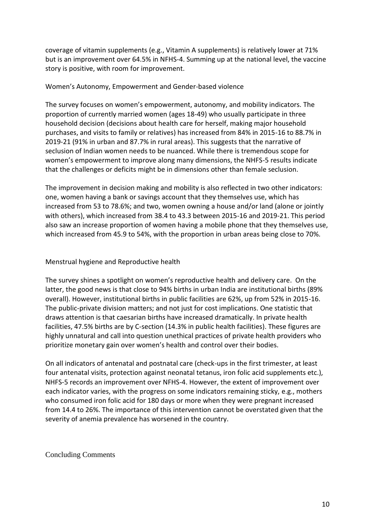coverage of vitamin supplements (e.g., Vitamin A supplements) is relatively lower at 71% but is an improvement over 64.5% in NFHS-4. Summing up at the national level, the vaccine story is positive, with room for improvement.

## Women's Autonomy, Empowerment and Gender-based violence

The survey focuses on women's empowerment, autonomy, and mobility indicators. The proportion of currently married women (ages 18-49) who usually participate in three household decision (decisions about health care for herself, making major household purchases, and visits to family or relatives) has increased from 84% in 2015-16 to 88.7% in 2019-21 (91% in urban and 87.7% in rural areas). This suggests that the narrative of seclusion of Indian women needs to be nuanced. While there is tremendous scope for women's empowerment to improve along many dimensions, the NHFS-5 results indicate that the challenges or deficits might be in dimensions other than female seclusion.

The improvement in decision making and mobility is also reflected in two other indicators: one, women having a bank or savings account that they themselves use, which has increased from 53 to 78.6%; and two, women owning a house and/or land (alone or jointly with others), which increased from 38.4 to 43.3 between 2015-16 and 2019-21. This period also saw an increase proportion of women having a mobile phone that they themselves use, which increased from 45.9 to 54%, with the proportion in urban areas being close to 70%.

## Menstrual hygiene and Reproductive health

The survey shines a spotlight on women's reproductive health and delivery care. On the latter, the good news is that close to 94% births in urban India are institutional births (89% overall). However, institutional births in public facilities are 62%, up from 52% in 2015-16. The public-private division matters; and not just for cost implications. One statistic that draws attention is that caesarian births have increased dramatically. In private health facilities, 47.5% births are by C-section (14.3% in public health facilities). These figures are highly unnatural and call into question unethical practices of private health providers who prioritize monetary gain over women's health and control over their bodies.

On all indicators of antenatal and postnatal care (check-ups in the first trimester, at least four antenatal visits, protection against neonatal tetanus, iron folic acid supplements etc.), NHFS-5 records an improvement over NFHS-4. However, the extent of improvement over each indicator varies, with the progress on some indicators remaining sticky, e.g., mothers who consumed iron folic acid for 180 days or more when they were pregnant increased from 14.4 to 26%. The importance of this intervention cannot be overstated given that the severity of anemia prevalence has worsened in the country.

Concluding Comments